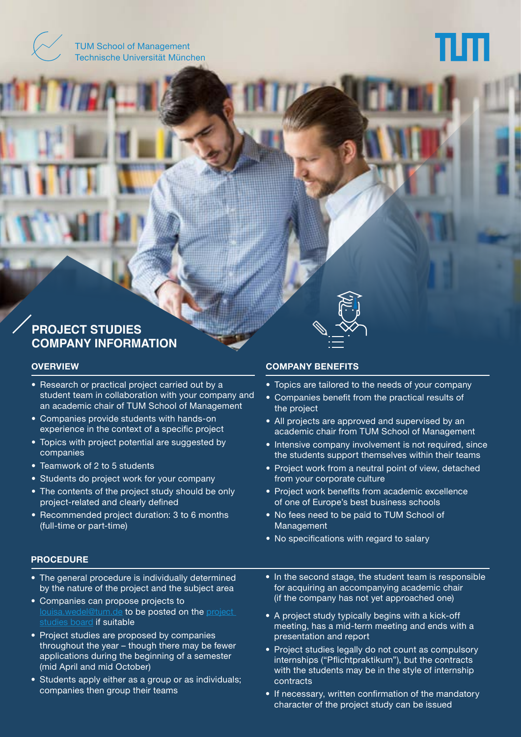TUM School of Management Technische Universität München

# **PROJECT STUDIES COMPANY INFORMATION**

#### **OVERVIEW**

- Research or practical project carried out by a student team in collaboration with your company and an academic chair of TUM School of Management
- Companies provide students with hands-on experience in the context of a specific project
- Topics with project potential are suggested by companies
- Teamwork of 2 to 5 students
- Students do project work for your company
- The contents of the project study should be only project-related and clearly defined
- Recommended project duration: 3 to 6 months (full-time or part-time)

#### **COMPANY BENEFITS**

- Topics are tailored to the needs of your company
- Companies benefit from the practical results of the project
- All projects are approved and supervised by an academic chair from TUM School of Management
- Intensive company involvement is not required, since the students support themselves within their teams
- Project work from a neutral point of view, detached from your corporate culture
- Project work benefits from academic excellence of one of Europe's best business schools
- No fees need to be paid to TUM School of Management
- No specifications with regard to salary

### **PROCEDURE**

- The general procedure is individually determined by the nature of the project and the subject area
- Companies can propose projects to [louisa.wedel@tum.de](mailto:louisa.wedel%40tum.de?subject=Project%20Proposal) to be posted on the project [studies board](https://tum-som.com/board/) if suitable
- Project studies are proposed by companies throughout the year – though there may be fewer applications during the beginning of a semester (mid April and mid October)
- Students apply either as a group or as individuals; companies then group their teams
- In the second stage, the student team is responsible for acquiring an accompanying academic chair (if the company has not yet approached one)
- A project study typically begins with a kick-off meeting, has a mid-term meeting and ends with a presentation and report
- Project studies legally do not count as compulsory internships ("Pflichtpraktikum"), but the contracts with the students may be in the style of internship contracts
- If necessary, written confirmation of the mandatory character of the project study can be issued